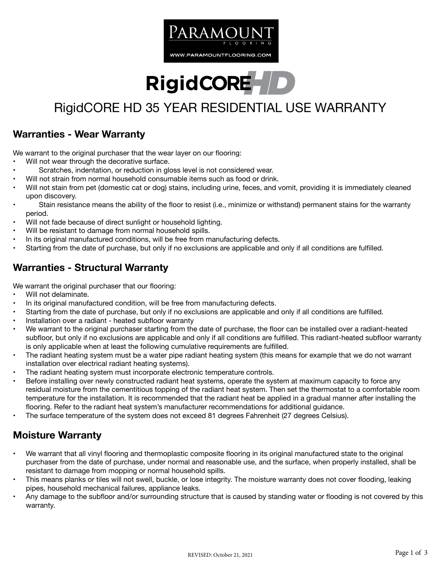

# **RigidCORE**

## RigidCORE HD 35 YEAR RESIDENTIAL USE WARRANTY

#### **Warranties - Wear Warranty**

We warrant to the original purchaser that the wear layer on our flooring:

- Will not wear through the decorative surface.
- Scratches, indentation, or reduction in gloss level is not considered wear.
- Will not strain from normal household consumable items such as food or drink.
- Will not stain from pet (domestic cat or dog) stains, including urine, feces, and vomit, providing it is immediately cleaned upon discovery.
- Stain resistance means the ability of the floor to resist (i.e., minimize or withstand) permanent stains for the warranty period.
- Will not fade because of direct sunlight or household lighting.
- Will be resistant to damage from normal household spills.
- In its original manufactured conditions, will be free from manufacturing defects.
- Starting from the date of purchase, but only if no exclusions are applicable and only if all conditions are fulfilled.

#### **Warranties - Structural Warranty**

We warrant the original purchaser that our flooring:

- Will not delaminate.
- In its original manufactured condition, will be free from manufacturing defects.
- Starting from the date of purchase, but only if no exclusions are applicable and only if all conditions are fulfilled.
- Installation over a radiant heated subfloor warranty
- We warrant to the original purchaser starting from the date of purchase, the floor can be installed over a radiant-heated subfloor, but only if no exclusions are applicable and only if all conditions are fulfilled. This radiant-heated subfloor warranty is only applicable when at least the following cumulative requirements are fulfilled.
- The radiant heating system must be a water pipe radiant heating system (this means for example that we do not warrant installation over electrical radiant heating systems).
- The radiant heating system must incorporate electronic temperature controls.
- Before installing over newly constructed radiant heat systems, operate the system at maximum capacity to force any residual moisture from the cementitious topping of the radiant heat system. Then set the thermostat to a comfortable room temperature for the installation. It is recommended that the radiant heat be applied in a gradual manner after installing the flooring. Refer to the radiant heat system's manufacturer recommendations for additional guidance.
- The surface temperature of the system does not exceed 81 degrees Fahrenheit (27 degrees Celsius).

#### **Moisture Warranty**

- We warrant that all vinyl flooring and thermoplastic composite flooring in its original manufactured state to the original purchaser from the date of purchase, under normal and reasonable use, and the surface, when properly installed, shall be resistant to damage from mopping or normal household spills.
- This means planks or tiles will not swell, buckle, or lose integrity. The moisture warranty does not cover flooding, leaking pipes, household mechanical failures, appliance leaks.
- Any damage to the subfloor and/or surrounding structure that is caused by standing water or flooding is not covered by this warranty.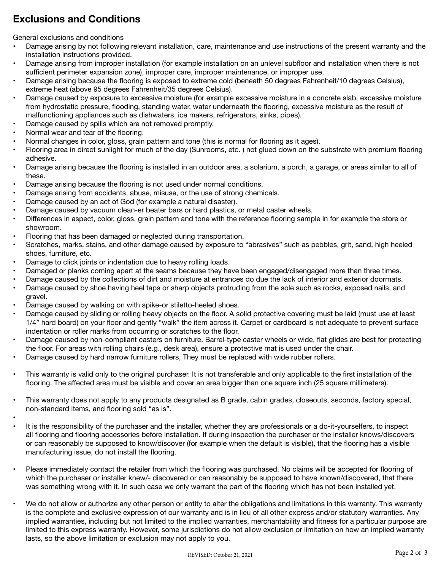### **Exclusions and Conditions**

General exclusions and conditions

- Damage arising by not following relevant installation, care, maintenance and use instructions of the present warranty and the installation instructions provided.
- Damage arising from improper installation (for example installation on an unlevel subfloor and installation when there is not sufficient perimeter expansion zone), improper care, improper maintenance, or improper use.
- Damage arising because the flooring is exposed to extreme cold (beneath 50 degrees Fahrenheit/10 degrees Celsius), extreme heat (above 95 degrees Fahrenheit/35 degrees Celsius).
- Damage caused by exposure to excessive moisture (for example excessive moisture in a concrete slab, excessive moisture from hydrostatic pressure, flooding, standing water, water underneath the flooring, excessive moisture as the result of malfunctioning appliances such as dishwaters, ice makers, refrigerators, sinks, pipes).
- Damage caused by spills which are not removed promptly.
- Normal wear and tear of the flooring.
- Normal changes in color, gloss, grain pattern and tone (this is normal for flooring as it ages).
- Flooring area in direct sunlight for much of the day (Sunrooms, etc. ) not glued down on the substrate with premium flooring adhesive.
- Damage arising because the flooring is installed in an outdoor area, a solarium, a porch, a garage, or areas similar to all of these.
- Damage arising because the flooring is not used under normal conditions.
- Damage arising from accidents, abuse, misuse, or the use of strong chemicals.
- Damage caused by an act of God (for example a natural disaster).
- Damage caused by vacuum clean-er beater bars or hard plastics, or metal caster wheels.
- Differences in aspect, color, gloss, grain pattern and tone with the reference flooring sample in for example the store or showroom.
- Flooring that has been damaged or neglected during transportation.
- Scratches, marks, stains, and other damage caused by exposure to "abrasives" such as pebbles, grit, sand, high heeled shoes, furniture, etc.
- Damage to click joints or indentation due to heavy rolling loads.
- Damaged or planks coming apart at the seams because they have been engaged/disengaged more than three times.
- Damage caused by the collections of dirt and moisture at entrances do due the lack of interior and exterior doormats.
- Damage caused by shoe having heel taps or sharp objects protruding from the sole such as rocks, exposed nails, and gravel.
- Damage caused by walking on with spike-or stiletto-heeled shoes.
- Damage caused by sliding or rolling heavy objects on the floor. A solid protective covering must be laid (must use at least 1/4" hard board) on your floor and gently "walk" the item across it. Carpet or cardboard is not adequate to prevent surface indentation or roller marks from occurring or scratches to the floor.
- Damage caused by non-compliant casters on furniture. Barrel-type caster wheels or wide, flat glides are best for protecting the floor. For areas with rolling chairs (e.g., desk area), ensure a protective mat is used under the chair.
- Damage caused by hard narrow furniture rollers, They must be replaced with wide rubber rollers.
- This warranty is valid only to the original purchaser. It is not transferable and only applicable to the first installation of the flooring. The affected area must be visible and cover an area bigger than one square inch (25 square millimeters).
- This warranty does not apply to any products designated as B grade, cabin grades, closeouts, seconds, factory special, non-standard items, and flooring sold "as is".
- - It is the responsibility of the purchaser and the installer, whether they are professionals or a do-it-yourselfers, to inspect all flooring and flooring accessories before installation. If during inspection the purchaser or the installer knows/discovers or can reasonably be supposed to know/discover (for example when the default is visible), that the flooring has a visible manufacturing issue, do not install the flooring.
- Please immediately contact the retailer from which the flooring was purchased. No claims will be accepted for flooring of which the purchaser or installer knew/- discovered or can reasonably be supposed to have known/discovered, that there was something wrong with it. In such case we only warrant the part of the flooring which has not been installed yet.
- We do not allow or authorize any other person or entity to alter the obligations and limitations in this warranty. This warranty is the complete and exclusive expression of our warranty and is in lieu of all other express and/or statutory warranties. Any implied warranties, including but not limited to the implied warranties, merchantability and fitness for a particular purpose are limited to this express warranty. However, some jurisdictions do not allow exclusion or limitation on how an implied warranty lasts, so the above limitation or exclusion may not apply to you.